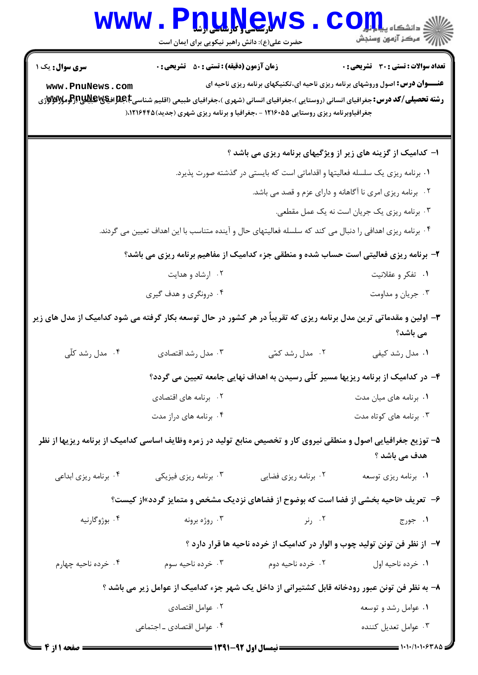|                                                                                               | <b>www.PDUNGWS</b><br>حضرت علی(ع): دانش راهبر نیکویی برای ایمان است                                                                                                                                             |                      | أأأأمركز أزمون وسنجش                                                                                                                 |  |
|-----------------------------------------------------------------------------------------------|-----------------------------------------------------------------------------------------------------------------------------------------------------------------------------------------------------------------|----------------------|--------------------------------------------------------------------------------------------------------------------------------------|--|
| <b>سری سوال :</b> یک ۱                                                                        | <b>زمان آزمون (دقیقه) : تستی : 50 ٪ تشریحی : 0</b>                                                                                                                                                              |                      | <b>تعداد سوالات : تستی : 30 ٪ تشریحی : 0</b><br><b>عنـــوان درس:</b> اصول وروشهای برنامه ریزی ناحیه ای،تکنیکهای برنامه ریزی ناحیه ای |  |
| www.PnuNews.com                                                                               | <b>رشته تحصیلی/کد درس:</b> جغرافیای انسانی (روستایی )،جغرافیای انسانی (شهری )،جغرافیای طبیعی (اقلیم شناسیCبهایاتیالاتیاللا<br>جغرافیاوبرنامه ریزی روستایی ۱۲۱۶۰۵۵ - ،جغرافیا و برنامه ریزی شهری (جدید)۱۲۱۶۴۴۵(۰ |                      |                                                                                                                                      |  |
|                                                                                               |                                                                                                                                                                                                                 |                      | ا- کدامیک از گزینه های زیر از ویژگیهای برنامه ریزی می باشد ؟                                                                         |  |
| ۰۱ برنامه ریزی یک سلسله فعالیتها و اقداماتی است که بایستی در گذشته صورت پذیرد.                |                                                                                                                                                                                                                 |                      |                                                                                                                                      |  |
| ۰۲ برنامه ریزی امری نا آگاهانه و دارای عزم و قصد می باشد.                                     |                                                                                                                                                                                                                 |                      |                                                                                                                                      |  |
|                                                                                               |                                                                                                                                                                                                                 |                      | ۰۳ برنامه ریزی یک جریان است نه یک عمل مقطعی.                                                                                         |  |
|                                                                                               | ۰۴ برنامه ریزی اهدافی را دنبال می کند که سلسله فعالیتهای حال و آینده متناسب با این اهداف تعیین می گردند.                                                                                                        |                      |                                                                                                                                      |  |
|                                                                                               | ۲- برنامه ریزی فعالیتی است حساب شده و منطقی جزء کدامیک از مفاهیم برنامه ریزی می باشد؟                                                                                                                           |                      |                                                                                                                                      |  |
|                                                                                               | ۰۲ ارشاد و هدایت                                                                                                                                                                                                |                      | ۰۱ تفکر و عقلانیت                                                                                                                    |  |
|                                                                                               | ۰۴ درونگری و هدف گیری                                                                                                                                                                                           |                      | ۰۳ جریان و مداومت                                                                                                                    |  |
|                                                                                               | ۳- اولین و مقدماتی ترین مدل برنامه ریزی که تقریباً در هر کشور در حال توسعه بکار گرفته می شود کدامیک از مدل های زیر                                                                                              |                      | می باشد؟                                                                                                                             |  |
| ۰۴ مدل رشد کلّی                                                                               | ۰۳ مدل رشد اقتصادی                                                                                                                                                                                              | ۰۲ مدل رشد کمّی      | ۰۱ مدل رشد کیفی                                                                                                                      |  |
|                                                                                               |                                                                                                                                                                                                                 |                      | ۴– در کدامیک از برنامه ریزیها مسیر کلّی رسیدن به اهداف نهایی جامعه تعیین می گردد؟                                                    |  |
|                                                                                               | ۰۲ برنامه های اقتصادی                                                                                                                                                                                           |                      | ۰۱ برنامه های میان مدت                                                                                                               |  |
|                                                                                               | ۰۴ برنامه های دراز مدت                                                                                                                                                                                          |                      | ۰۳ برنامه های کوتاه مدت                                                                                                              |  |
|                                                                                               | ۵– توزیع جغرافیایی اصول و منطقی نیروی کار و تخصیص منابع تولید در زمره وظایف اساسی کدامیک از برنامه ریزیها از نظر                                                                                                |                      | هدف می باشد ؟                                                                                                                        |  |
| ۰۴ برنامه ریزی ابداعی                                                                         | ۰۳ برنامه ریزی فیزیکی                                                                                                                                                                                           | ۰۲ برنامه ریزی فضایی | ۰۱ برنامه ریزی توسعه                                                                                                                 |  |
|                                                                                               | ۶-   تعریف «ناحیه بخشی از فضا است که بوضوح از فضاهای نزدیک مشخص و متمایز گردد»از کیست؟                                                                                                                          |                      |                                                                                                                                      |  |
| ۰۴ بوژوگارنيه                                                                                 | ۰۳ روژه برونه                                                                                                                                                                                                   | ۲. رنر               | ۰۱ جورج                                                                                                                              |  |
|                                                                                               |                                                                                                                                                                                                                 |                      | ۷– از نظر فن تونن تولید چوب و الوار در کدامیک از خرده ناحیه ها قرار دارد ؟                                                           |  |
| ۰۴ خرده ناحیه چهارم                                                                           | ۰۳ خرده ناحیه سوم                                                                                                                                                                                               | ۰۲ خرده ناحیه دوم    | ٠١ خرده ناحيه اول                                                                                                                    |  |
| ۸– به نظر فن تونن عبور رودخانه قابل کشتیرانی از داخل یک شهر جزء کدامیک از عوامل زیر می باشد ؟ |                                                                                                                                                                                                                 |                      |                                                                                                                                      |  |
|                                                                                               | ۰۲ عوامل اقتصادی                                                                                                                                                                                                |                      | ۰۱ عوامل رشد و توسعه                                                                                                                 |  |

۰۳ عوامل تعدیل کننده

۰۴ عوامل اقتصادی ـ اجتماعی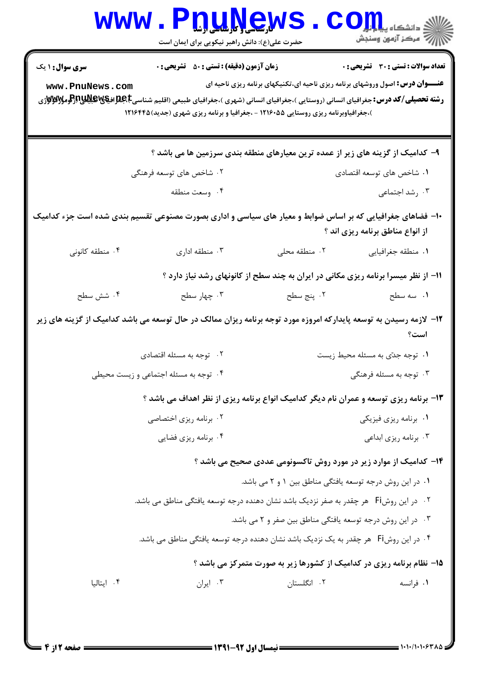|                                                                                                                            | www.PnuNews<br>حضرت علی(ع): دانش راهبر نیکویی برای ایمان است                                                                                                                                                                                                                             |                                                                                    | الله دانشکاه پیاه برای COM<br>الله عرکز آزمهن وسنجش                                                                                  |  |
|----------------------------------------------------------------------------------------------------------------------------|------------------------------------------------------------------------------------------------------------------------------------------------------------------------------------------------------------------------------------------------------------------------------------------|------------------------------------------------------------------------------------|--------------------------------------------------------------------------------------------------------------------------------------|--|
| <b>سری سوال : ۱ یک</b><br>www.PnuNews.com                                                                                  | <b>زمان آزمون (دقیقه) : تستی : 50 ٪ تشریحی : 0</b><br><b>رشته تحصیلی/کد درس:</b> جغرافیای انسانی (روستایی )،جغرافیای انسانی (شهری )،جغرافیای طبیعی (اقلیم شناسیCبهایاتیالاتیاللاتیاتراتومولاتالاتار<br>)،جغرافیاوبرنامه ریزی روستایی ۱۲۱۶۰۵۵ - ،جغرافیا و برنامه ریزی شهری (جدید)۱۲۱۶۴۴۵ |                                                                                    | <b>تعداد سوالات : تستی : 30 ٪ تشریحی : 0</b><br><b>عنـــوان درس:</b> اصول وروشهای برنامه ریزی ناحیه ای،تکنیکهای برنامه ریزی ناحیه ای |  |
|                                                                                                                            | ۹- کدامیک از گزینه های زیر از عمده ترین معیارهای منطقه بندی سرزمین ها می باشد ؟                                                                                                                                                                                                          |                                                                                    |                                                                                                                                      |  |
|                                                                                                                            | ۲. شاخص های توسعه فرهنگی                                                                                                                                                                                                                                                                 | ۰۱ شاخص های توسعه اقتصادی                                                          |                                                                                                                                      |  |
|                                                                                                                            | ۰۴ وسعت منطقه                                                                                                                                                                                                                                                                            |                                                                                    | ۰۳ رشد اجتماعی                                                                                                                       |  |
|                                                                                                                            | ۱۰- فضاهای جغرافیایی که بر اساس ضوابط و معیار های سیاسی و اداری بصورت مصنوعی تقسیم بندی شده است جزء کدامیک                                                                                                                                                                               |                                                                                    | از انواع مناطق برنامه ریزی اند ؟                                                                                                     |  |
| ۰۴ منطقه کانونی                                                                                                            | ۰۳ منطقه اداری                                                                                                                                                                                                                                                                           | ٠٢ منطقه محلى                                                                      | ٠١ منطقه جغرافيايي                                                                                                                   |  |
|                                                                                                                            |                                                                                                                                                                                                                                                                                          | 11- از نظر میسرا برنامه ریزی مکانی در ایران به چند سطح از کانونهای رشد نیاز دارد ؟ |                                                                                                                                      |  |
| ۰۴ شش سطح                                                                                                                  | ۰۳ چهار سطح                                                                                                                                                                                                                                                                              | ۰۲ پنج سطح                                                                         | ۰۱ سه سطح                                                                                                                            |  |
| ۱۲– لازمه رسیدن به توسعه پایدارکه امروزه مورد توجه برنامه ریزان ممالک در حال توسعه می باشد کدامیک از گزینه های زیر<br>است؟ |                                                                                                                                                                                                                                                                                          |                                                                                    |                                                                                                                                      |  |
|                                                                                                                            | ۰۲ توجه به مسئله اقتصادی                                                                                                                                                                                                                                                                 |                                                                                    | ۰۱ توجه جدّى به مسئله محيط زيست                                                                                                      |  |
|                                                                                                                            | ۰۴ توجه به مسئله اجتماعی و زیست محیطی                                                                                                                                                                                                                                                    |                                                                                    | ۰۳ توجه به مسئله فرهنگی                                                                                                              |  |
|                                                                                                                            | ۱۳- برنامه ریزی توسعه و عمران نام دیگر کدامیک انواع برنامه ریزی از نظر اهداف می باشد ؟                                                                                                                                                                                                   |                                                                                    |                                                                                                                                      |  |
|                                                                                                                            | ۰۲ برنامه ریزی اختصاصی                                                                                                                                                                                                                                                                   | ۰۱ برنامه ریزی فیزیکی                                                              |                                                                                                                                      |  |
|                                                                                                                            | ۰۴ برنامه ریزی فضایی                                                                                                                                                                                                                                                                     |                                                                                    | ۰۳ برنامه ریزی ابداعی                                                                                                                |  |
|                                                                                                                            |                                                                                                                                                                                                                                                                                          | ۱۴- کدامیک از موارد زیر در مورد روش تاکسونومی عددی صحیح می باشد ؟                  |                                                                                                                                      |  |
|                                                                                                                            |                                                                                                                                                                                                                                                                                          | ۰۱ در این روش درجه توسعه یافتگی مناطق بین ۱ و ۲ می باشد.                           |                                                                                                                                      |  |
|                                                                                                                            | ۰۲ در این روشFi هر چقدر به صفر نزدیک باشد نشان دهنده درجه توسعه یافتگی مناطق می باشد.                                                                                                                                                                                                    |                                                                                    |                                                                                                                                      |  |
|                                                                                                                            |                                                                                                                                                                                                                                                                                          | ۰۳ در این روش درجه توسعه یافتگی مناطق بین صفر و ۲ می باشد.                         |                                                                                                                                      |  |
| ۰۴ در این روشFi هر چقدر به یک نزدیک باشد نشان دهنده درجه توسعه یافتگی مناطق می باشد.                                       |                                                                                                                                                                                                                                                                                          |                                                                                    |                                                                                                                                      |  |
|                                                                                                                            |                                                                                                                                                                                                                                                                                          | ۱۵- نظام برنامه ریزی در کدامیک از کشورها زیر به صورت متمرکز می باشد ؟              |                                                                                                                                      |  |
| ۰۴ ایتالیا                                                                                                                 | ۰۳ ایران                                                                                                                                                                                                                                                                                 | ۰۲ انگلستان                                                                        | ۰۱ فرانسه                                                                                                                            |  |
|                                                                                                                            |                                                                                                                                                                                                                                                                                          |                                                                                    |                                                                                                                                      |  |
|                                                                                                                            |                                                                                                                                                                                                                                                                                          |                                                                                    |                                                                                                                                      |  |

1.1.1.1.9380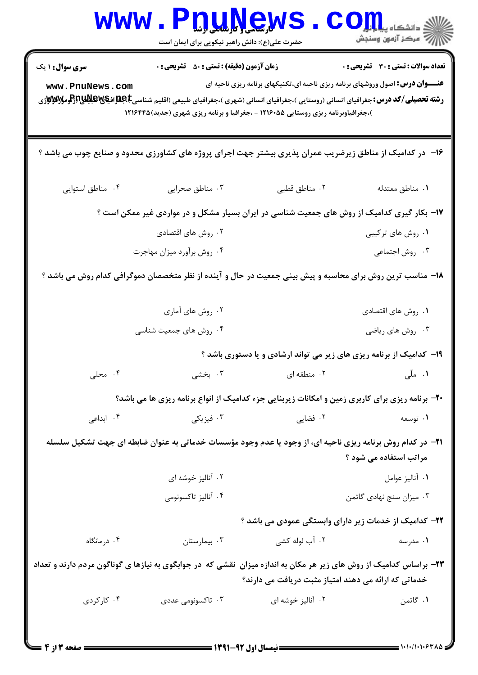| <b>WWW</b>                                                                                                                                                                 | حضرت علی(ع): دانش راهبر نیکویی برای ایمان است      | <u>n'n'news</u>                                                                                                                                                                                                                                                                                                                                                                                                      | ≦ دانشکاه پی <mark>ا با با</mark> ر'<br>أآ " مرڪز آزمون وسنڊش |  |
|----------------------------------------------------------------------------------------------------------------------------------------------------------------------------|----------------------------------------------------|----------------------------------------------------------------------------------------------------------------------------------------------------------------------------------------------------------------------------------------------------------------------------------------------------------------------------------------------------------------------------------------------------------------------|---------------------------------------------------------------|--|
| <b>سری سوال : ۱ یک</b><br>www.PnuNews.com                                                                                                                                  | <b>زمان آزمون (دقیقه) : تستی : 50 ٪ تشریحی : 0</b> | <b>عنـــوان درس:</b> اصول وروشهای برنامه ریزی ناحیه ای،تکنیکهای برنامه ریزی ناحیه ای<br><b>رشته تحصیلی/کد درس:</b> جغرافیای انسانی (روستایی )،جغرافیای انسانی (شهری )،جغرافیای طبیعی (اقلیم شناسیجهایالهای استان<br>موسیعهای از این استان استانی از استانی (روستایی)،جغرافیای انسانی (شهری )،جغرافیای طبیعی (اقلیم شناسیجهای ا<br>)،جغرافیاوبرنامه ریزی روستایی ۱۲۱۶۰۵۵ - ،جغرافیا و برنامه ریزی شهری (جدید) ۱۲۱۶۴۴۵ | <b>تعداد سوالات : تستی : 30 ٪ تشریحی : 0</b>                  |  |
|                                                                                                                                                                            |                                                    | ۱۶- در کدامیک از مناطق زیرضریب عمران پذیری بیشتر جهت اجرای پروژه های کشاورزی محدود و صنایع چوب می باشد ؟                                                                                                                                                                                                                                                                                                             |                                                               |  |
| ۰۴ مناطق استوايي                                                                                                                                                           | ۰۳ مناطق صحرایی                                    | ٠٢ مناطق قطبي                                                                                                                                                                                                                                                                                                                                                                                                        | ٠١ مناطق معتدله                                               |  |
|                                                                                                                                                                            |                                                    | ۱۷– بکار گیری کدامیک از روش های جمعیت شناسی در ایران بسیار مشکل و در مواردی غیر ممکن است ؟                                                                                                                                                                                                                                                                                                                           |                                                               |  |
|                                                                                                                                                                            | ۰۲ روش های اقتصادی                                 |                                                                                                                                                                                                                                                                                                                                                                                                                      | ۰۱ روش های ترکیبی                                             |  |
|                                                                                                                                                                            | ۰۴ روش برأورد ميزان مهاجرت                         |                                                                                                                                                                                                                                                                                                                                                                                                                      | ۰۳ روش اجتماعی                                                |  |
| ۱۸− مناسب ترین روش برای محاسبه و پیش بینی جمعیت در حال و آینده از نظر متخصصان دموگرافی کدام روش می باشد ؟                                                                  |                                                    |                                                                                                                                                                                                                                                                                                                                                                                                                      |                                                               |  |
|                                                                                                                                                                            | ۰۲ روش های آماری                                   |                                                                                                                                                                                                                                                                                                                                                                                                                      | ۰۱ روش های اقتصادی                                            |  |
|                                                                                                                                                                            | ۰۴ روش های جمعیت شناسی                             |                                                                                                                                                                                                                                                                                                                                                                                                                      | ۰۳ روش های ریاضی                                              |  |
| ۱۹- کدامیک از برنامه ریزی های زیر می تواند ارشادی و یا دستوری باشد ؟                                                                                                       |                                                    |                                                                                                                                                                                                                                                                                                                                                                                                                      |                                                               |  |
| ۰۴ محلی                                                                                                                                                                    | ۰۳ بخشے ِ                                          | ۰۲ منطقه ای                                                                                                                                                                                                                                                                                                                                                                                                          | <b>۱.</b> ملّی است.                                           |  |
|                                                                                                                                                                            |                                                    | <b>۲۰</b> - برنامه ریزی برای کاربری زمین و امکانات زیربنایی جزء کدامیک از انواع برنامه ریزی ها می باشد؟                                                                                                                                                                                                                                                                                                              |                                                               |  |
| ۰۴ ابداعی                                                                                                                                                                  | ۰۳ فیزیکی                                          | ۰۲ فضایی                                                                                                                                                                                                                                                                                                                                                                                                             | ۰۱ توسعه                                                      |  |
| <b>۲۱</b> - در کدام روش برنامه ریزی ناحیه ای، از وجود یا عدم وجود مؤسسات خدماتی به عنوان ضابطه ای جهت تشکیل سلسله<br>مراتب استفاده می شود ؟                                |                                                    |                                                                                                                                                                                                                                                                                                                                                                                                                      |                                                               |  |
|                                                                                                                                                                            | ۰۲ آنالیز خوشه ای                                  |                                                                                                                                                                                                                                                                                                                                                                                                                      | ٠١ آناليز عوامل                                               |  |
|                                                                                                                                                                            | ۰۴ آناليز تاكسونومي                                |                                                                                                                                                                                                                                                                                                                                                                                                                      | ۰۳ میزان سنج نهادی گاتمن                                      |  |
|                                                                                                                                                                            |                                                    | <b>۲۲</b> – کدامیک از خدمات زیر دارای وابستگی عمودی می باشد ؟                                                                                                                                                                                                                                                                                                                                                        |                                                               |  |
| ۰۴ درمانگاه                                                                                                                                                                | ۰۳ بیمارستان                                       | ۰۲ آب لوله کشی                                                                                                                                                                                                                                                                                                                                                                                                       | ۰۱ مدرسه                                                      |  |
| ۲۳- براساس کدامیک از روش های زیر هر مکان به اندازه میزان نقشی که در جوابگوی به نیازها ی گوناگون مردم دارند و تعداد<br>خدماتی که ارائه می دهند امتیاز مثبت دریافت می دارند؟ |                                                    |                                                                                                                                                                                                                                                                                                                                                                                                                      |                                                               |  |
| ۰۴ کارکردی                                                                                                                                                                 | ۰۳ تاکسونومی عددی                                  | ۰۲ آنالیز خوشه ای                                                                                                                                                                                                                                                                                                                                                                                                    | ۰۱ گاتمن                                                      |  |
|                                                                                                                                                                            |                                                    |                                                                                                                                                                                                                                                                                                                                                                                                                      |                                                               |  |